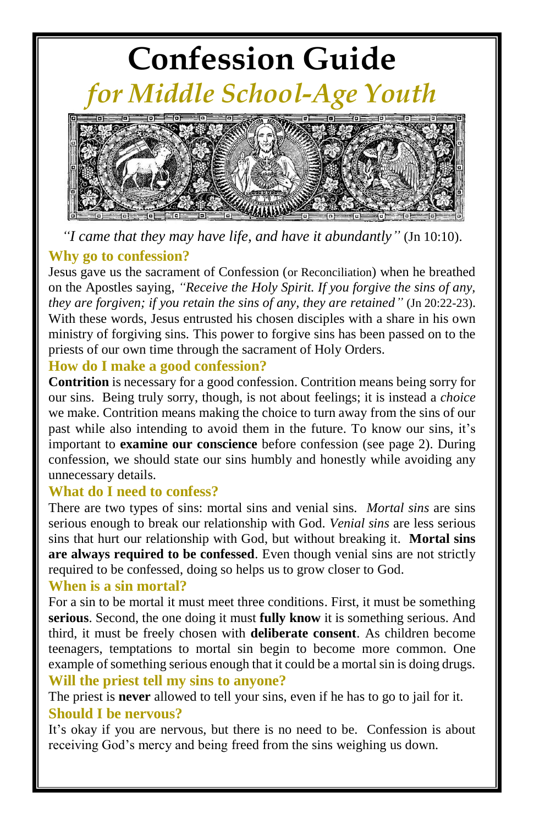# **Confession Guide**  *for Middle School-Age Youth*



*"I came that they may have life, and have it abundantly"* (Jn 10:10).

### **Why go to confession?**

Jesus gave us the sacrament of Confession (or Reconciliation) when he breathed on the Apostles saying, *"Receive the Holy Spirit. If you forgive the sins of any, they are forgiven; if you retain the sins of any, they are retained"* (Jn 20:22-23). With these words, Jesus entrusted his chosen disciples with a share in his own ministry of forgiving sins. This power to forgive sins has been passed on to the priests of our own time through the sacrament of Holy Orders.

### **How do I make a good confession?**

**Contrition** is necessary for a good confession. Contrition means being sorry for our sins. Being truly sorry, though, is not about feelings; it is instead a *choice* we make. Contrition means making the choice to turn away from the sins of our past while also intending to avoid them in the future. To know our sins, it's important to **examine our conscience** before confession (see page 2). During confession, we should state our sins humbly and honestly while avoiding any unnecessary details.

### **What do I need to confess?**

There are two types of sins: mortal sins and venial sins. *Mortal sins* are sins serious enough to break our relationship with God. *Venial sins* are less serious sins that hurt our relationship with God, but without breaking it. **Mortal sins are always required to be confessed**. Even though venial sins are not strictly required to be confessed, doing so helps us to grow closer to God.

### **When is a sin mortal?**

For a sin to be mortal it must meet three conditions. First, it must be something **serious**. Second, the one doing it must **fully know** it is something serious. And third, it must be freely chosen with **deliberate consent**. As children become teenagers, temptations to mortal sin begin to become more common. One example of something serious enough that it could be a mortal sin is doing drugs. **Will the priest tell my sins to anyone?**

The priest is **never** allowed to tell your sins, even if he has to go to jail for it. **Should I be nervous?**

It's okay if you are nervous, but there is no need to be. Confession is about receiving God's mercy and being freed from the sins weighing us down.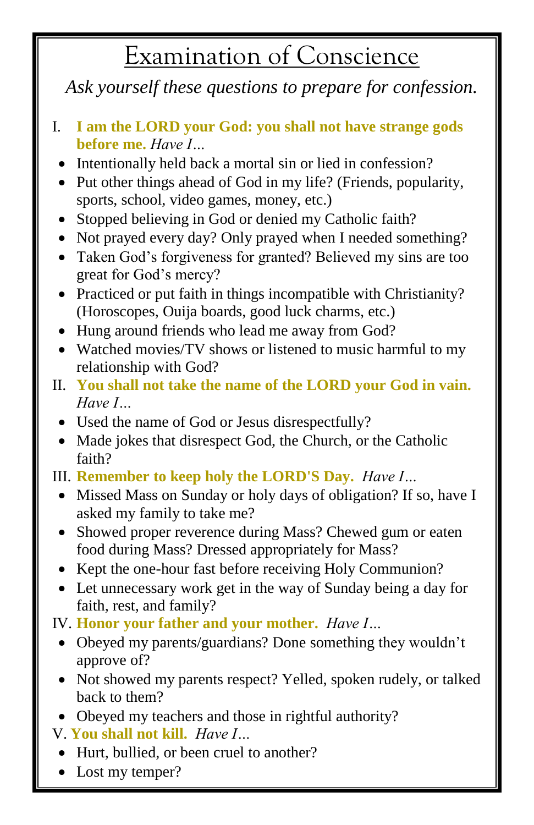# Examination of Conscience

*Ask yourself these questions to prepare for confession.*

- I. **I am the LORD your God: you shall not have strange gods before me.** *Have I…*
- Intentionally held back a mortal sin or lied in confession?
- Put other things ahead of God in my life? (Friends, popularity, sports, school, video games, money, etc.)
- Stopped believing in God or denied my Catholic faith?
- Not prayed every day? Only prayed when I needed something?
- Taken God's forgiveness for granted? Believed my sins are too great for God's mercy?
- Practiced or put faith in things incompatible with Christianity? (Horoscopes, Ouija boards, good luck charms, etc.)
- Hung around friends who lead me away from God?
- Watched movies/TV shows or listened to music harmful to my relationship with God?
- II. **You shall not take the name of the LORD your God in vain.** *Have I…*
	- Used the name of God or Jesus disrespectfully?
	- Made jokes that disrespect God, the Church, or the Catholic faith?
- III. **Remember to keep holy the LORD'S Day.** *Have I…*
	- Missed Mass on Sunday or holy days of obligation? If so, have I asked my family to take me?
	- Showed proper reverence during Mass? Chewed gum or eaten food during Mass? Dressed appropriately for Mass?
	- Kept the one-hour fast before receiving Holy Communion?
	- Let unnecessary work get in the way of Sunday being a day for faith, rest, and family?
- IV. **Honor your father and your mother.** *Have I…*
	- Obeyed my parents/guardians? Done something they wouldn't approve of?
	- Not showed my parents respect? Yelled, spoken rudely, or talked back to them?
	- Obeyed my teachers and those in rightful authority?
- V. **You shall not kill.** *Have I…*
- Hurt, bullied, or been cruel to another?
- Lost my temper?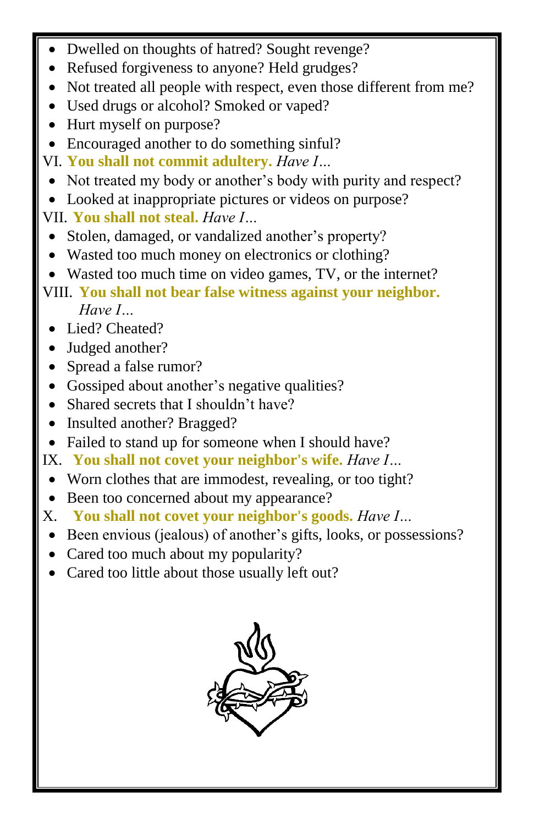- Dwelled on thoughts of hatred? Sought revenge?
- Refused forgiveness to anyone? Held grudges?
- Not treated all people with respect, even those different from me?
- Used drugs or alcohol? Smoked or vaped?
- Hurt myself on purpose?
- Encouraged another to do something sinful?
- VI. **You shall not commit adultery.** *Have I…*
- Not treated my body or another's body with purity and respect?
- Looked at inappropriate pictures or videos on purpose?
- VII. **You shall not steal.** *Have I…*
- Stolen, damaged, or vandalized another's property?
- Wasted too much money on electronics or clothing?
- Wasted too much time on video games, TV, or the internet?
- VIII. **You shall not bear false witness against your neighbor.** *Have I…*
	- Lied? Cheated?
	- Judged another?
	- Spread a false rumor?
	- Gossiped about another's negative qualities?
	- Shared secrets that I shouldn't have?
	- Insulted another? Bragged?
- Failed to stand up for someone when I should have?
- IX. **You shall not covet your neighbor's wife.** *Have I…*
- Worn clothes that are immodest, revealing, or too tight?
- Been too concerned about my appearance?
- X. **You shall not covet your neighbor's goods.** *Have I…*
- Been envious (jealous) of another's gifts, looks, or possessions?
- Cared too much about my popularity?
- Cared too little about those usually left out?